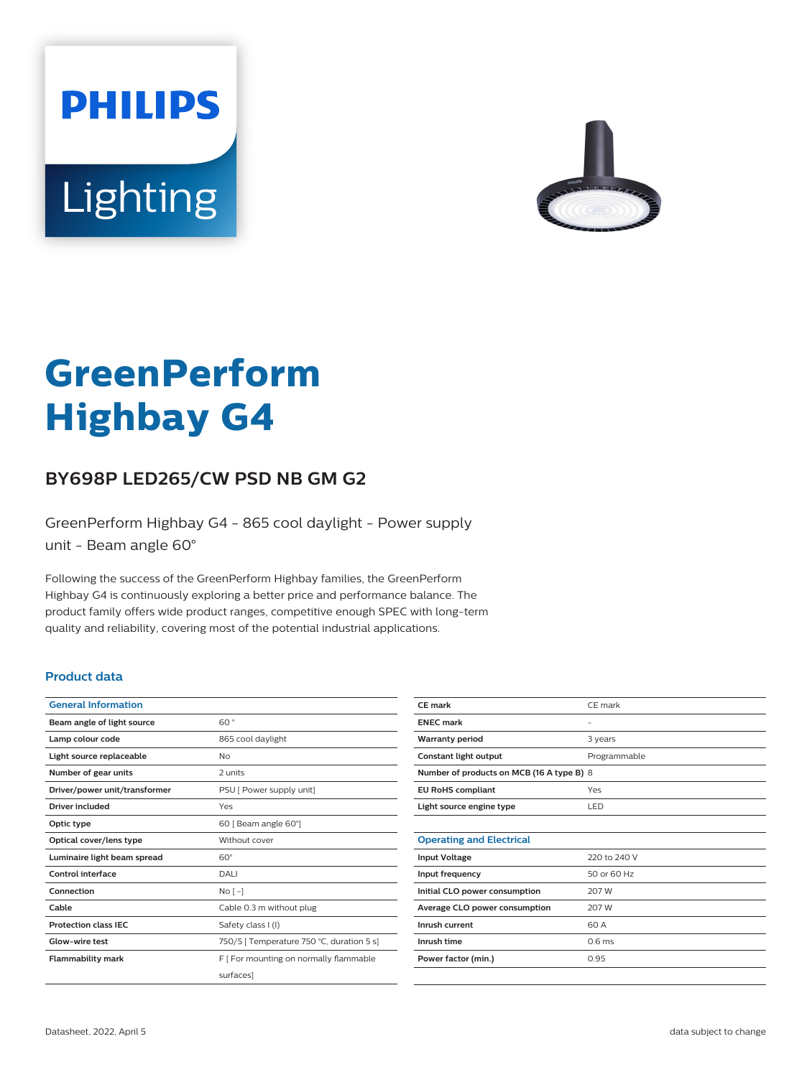



## **GreenPerform Highbay G4**

## **BY698P LED265/CW PSD NB GM G2**

GreenPerform Highbay G4 - 865 cool daylight - Power supply unit - Beam angle 60°

Following the success of the GreenPerform Highbay families, the GreenPerform Highbay G4 is continuously exploring a better price and performance balance. The product family offers wide product ranges, competitive enough SPEC with long-term quality and reliability, covering most of the potential industrial applications.

### **Product data**

| <b>General Information</b>    |                                           |
|-------------------------------|-------------------------------------------|
| Beam angle of light source    | 60°                                       |
| Lamp colour code              | 865 cool daylight                         |
| Light source replaceable      | No                                        |
| Number of gear units          | 2 units                                   |
| Driver/power unit/transformer | PSU [ Power supply unit]                  |
| Driver included               | Yes                                       |
| Optic type                    | 60 [ Beam angle 60°]                      |
| Optical cover/lens type       | Without cover                             |
| Luminaire light beam spread   | $60^\circ$                                |
| Control interface             | DALI                                      |
| Connection                    | No <sub>1</sub>                           |
| Cable                         | Cable 0.3 m without plug                  |
| <b>Protection class IEC</b>   | Safety class I (I)                        |
| Glow-wire test                | 750/5   Temperature 750 °C, duration 5 s] |
| <b>Flammability mark</b>      | F   For mounting on normally flammable    |
|                               | surfaces]                                 |

| <b>CE</b> mark                            | CE mark                  |  |
|-------------------------------------------|--------------------------|--|
| <b>ENEC mark</b>                          | $\overline{\phantom{0}}$ |  |
| <b>Warranty period</b>                    | 3 years                  |  |
| Constant light output                     | Programmable             |  |
| Number of products on MCB (16 A type B) 8 |                          |  |
| <b>EU RoHS compliant</b>                  | Yes                      |  |
| Light source engine type                  | LED                      |  |
|                                           |                          |  |
| <b>Operating and Electrical</b>           |                          |  |
| <b>Input Voltage</b>                      | 220 to 240 V             |  |
| Input frequency                           | 50 or 60 Hz              |  |
| Initial CLO power consumption             | 207W                     |  |
| Average CLO power consumption             | 207 W                    |  |
| Inrush current                            | 60 A                     |  |
| Inrush time                               | 0.6 <sub>ms</sub>        |  |
| Power factor (min.)                       | 0.95                     |  |
|                                           |                          |  |